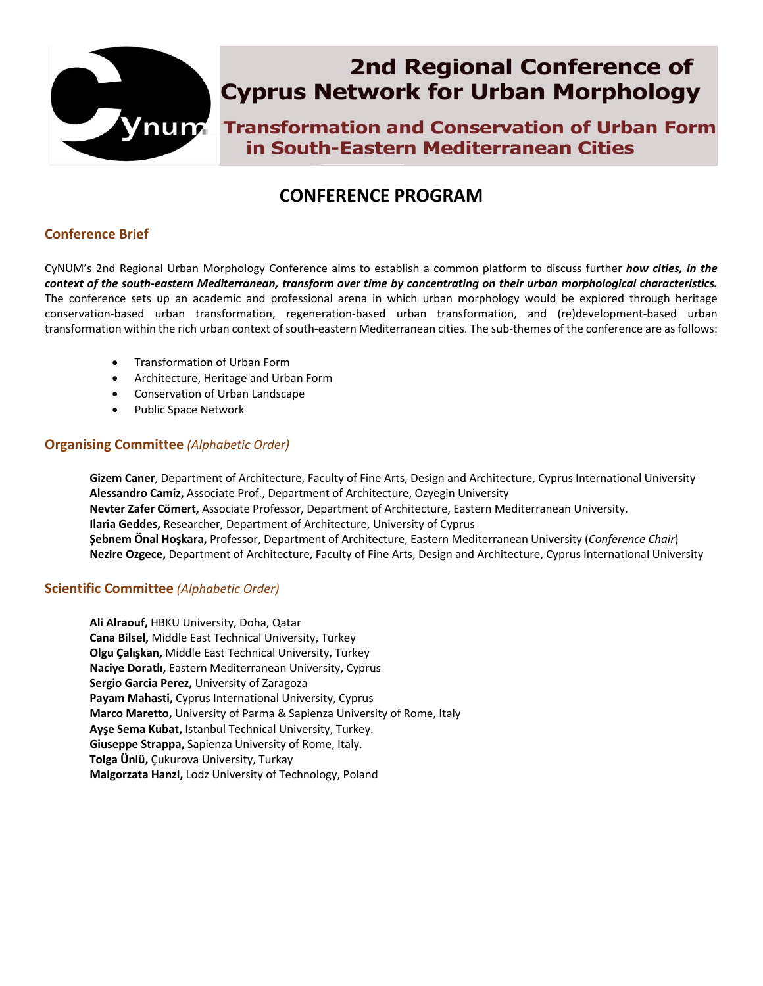

# **2nd Regional Conference of Cyprus Network for Urban Morphology**

**South-Eastern Mediterranean Cities** in South-Eastern Mediterranean Cities

# **CONFERENCE PROGRAM**

# **Conference Brief**

CyNUM's 2nd Regional Urban Morphology Conference aims to establish a common platform to discuss further *how cities, in the context of the south-eastern Mediterranean, transform over time by concentrating on their urban morphological characteristics.*  The conference sets up an academic and professional arena in which urban morphology would be explored through heritage conservation-based urban transformation, regeneration-based urban transformation, and (re)development-based urban transformation within the rich urban context of south-eastern Mediterranean cities. The sub-themes of the conference are as follows:

- Transformation of Urban Form
- Architecture, Heritage and Urban Form
- Conservation of Urban Landscape
- Public Space Network

# **Organising Committee** *(Alphabetic Order)*

**Gizem Caner**, Department of Architecture, Faculty of Fine Arts, Design and Architecture, Cyprus International University **Alessandro Camiz,** Associate Prof., Department of Architecture, Ozyegin University **Nevter Zafer Cömert,** Associate Professor, Department of Architecture, Eastern Mediterranean University. **Ilaria Geddes,** Researcher, Department of Architecture, University of Cyprus **Şebnem Önal Hoşkara,** Professor, Department of Architecture, Eastern Mediterranean University (*Conference Chair*) **Nezire Ozgece,** Department of Architecture, Faculty of Fine Arts, Design and Architecture, Cyprus International University

# **Scientific Committee** *(Alphabetic Order)*

**Ali Alraouf,** HBKU University, Doha, Qatar **Cana Bilsel,** Middle East Technical University, Turkey **Olgu Çalışkan,** Middle East Technical University, Turkey **Naciye Doratlı,** Eastern Mediterranean University, Cyprus **Sergio Garcia Perez,** University of Zaragoza **Payam Mahasti,** Cyprus International University, Cyprus **Marco Maretto,** University of Parma & Sapienza University of Rome, Italy **Ayşe Sema Kubat,** Istanbul Technical University, Turkey. **Giuseppe Strappa,** Sapienza University of Rome, Italy. **Tolga Ünlü,** Çukurova University, Turkay **Malgorzata Hanzl,** Lodz University of Technology, Poland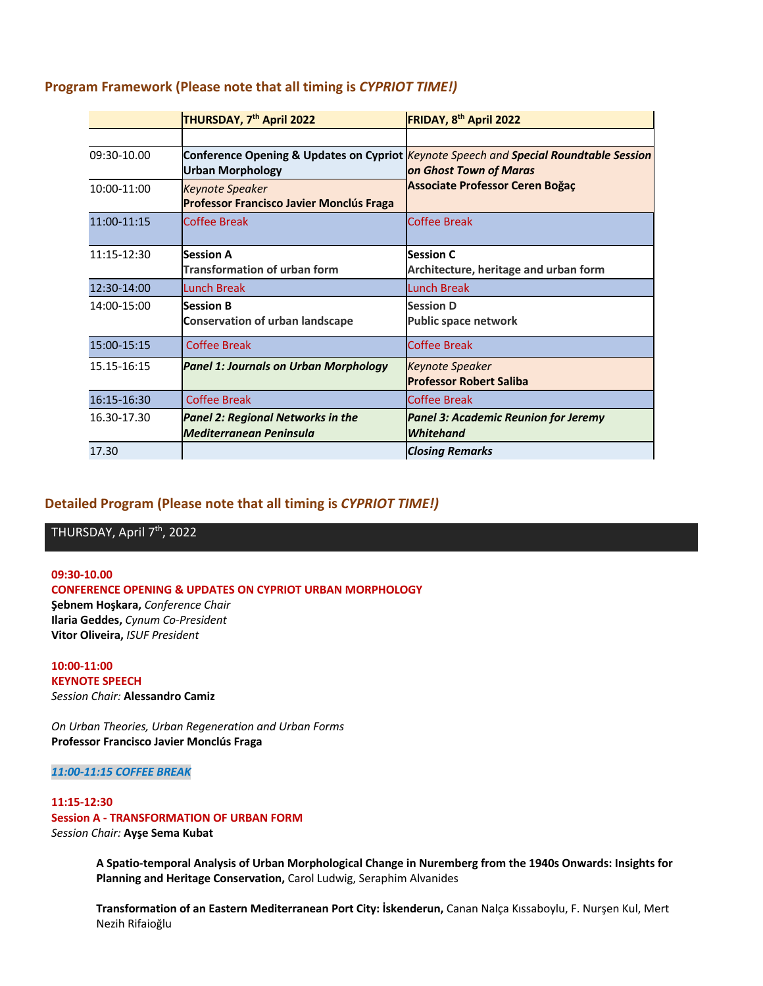|               | THURSDAY, 7 <sup>th</sup> April 2022                                       | FRIDAY, 8 <sup>th</sup> April 2022                                                                                                                        |
|---------------|----------------------------------------------------------------------------|-----------------------------------------------------------------------------------------------------------------------------------------------------------|
|               |                                                                            |                                                                                                                                                           |
| $09:30-10.00$ | <b>Urban Morphology</b>                                                    | Conference Opening & Updates on Cypriot Keynote Speech and Special Roundtable Session<br>on Ghost Town of Maras<br><b>Associate Professor Ceren Boğaç</b> |
| 10:00-11:00   | <b>Keynote Speaker</b><br><b>Professor Francisco Javier Monclús Fraga</b>  |                                                                                                                                                           |
| $11:00-11:15$ | Coffee Break                                                               | Coffee Break                                                                                                                                              |
| $11:15-12:30$ | <b>Session A</b>                                                           | <b>Session C</b>                                                                                                                                          |
|               | <b>Transformation of urban form</b>                                        | Architecture, heritage and urban form                                                                                                                     |
| $12:30-14:00$ | Lunch Break                                                                | <b>Lunch Break</b>                                                                                                                                        |
| 14:00-15:00   | Session B                                                                  | <b>Session D</b>                                                                                                                                          |
|               | <b>Conservation of urban landscape</b>                                     | <b>Public space network</b>                                                                                                                               |
| 15:00-15:15   | Coffee Break                                                               | <b>Coffee Break</b>                                                                                                                                       |
| 15.15-16:15   | <b>Panel 1: Journals on Urban Morphology</b>                               | <b>Keynote Speaker</b><br><b>Professor Robert Saliba</b>                                                                                                  |
| 16:15-16:30   | <b>Coffee Break</b>                                                        | <b>Coffee Break</b>                                                                                                                                       |
| 16.30-17.30   | <b>Panel 2: Regional Networks in the</b><br><b>Mediterranean Peninsula</b> | <b>Panel 3: Academic Reunion for Jeremy</b><br><b>Whitehand</b>                                                                                           |
| 17.30         |                                                                            | <b>Closing Remarks</b>                                                                                                                                    |

# **Program Framework (Please note that all timing is** *CYPRIOT TIME!)*

### **Detailed Program (Please note that all timing is** *CYPRIOT TIME!)*

THURSDAY, April 7<sup>th</sup>, 2022

**09:30-10.00 CONFERENCE OPENING & UPDATES ON CYPRIOT URBAN MORPHOLOGY Şebnem Hoşkara,** *Conference Chair* **Ilaria Geddes,** *Cynum Co-President* **Vitor Oliveira,** *ISUF President*

**10:00-11:00 KEYNOTE SPEECH** *Session Chair:* **Alessandro Camiz**

*On Urban Theories, Urban Regeneration and Urban Forms* **Professor Francisco Javier Monclús Fraga**

*11:00-11:15 COFFEE BREAK*

#### **11:15-12:30 Session A - TRANSFORMATION OF URBAN FORM** *Session Chair:* **Ayşe Sema Kubat**

**A Spatio-temporal Analysis of Urban Morphological Change in Nuremberg from the 1940s Onwards: Insights for Planning and Heritage Conservation,** Carol Ludwig, Seraphim Alvanides

**Transformation of an Eastern Mediterranean Port City: İskenderun,** Canan Nalça Kıssaboylu, F. Nurşen Kul, Mert Nezih Rifaioğlu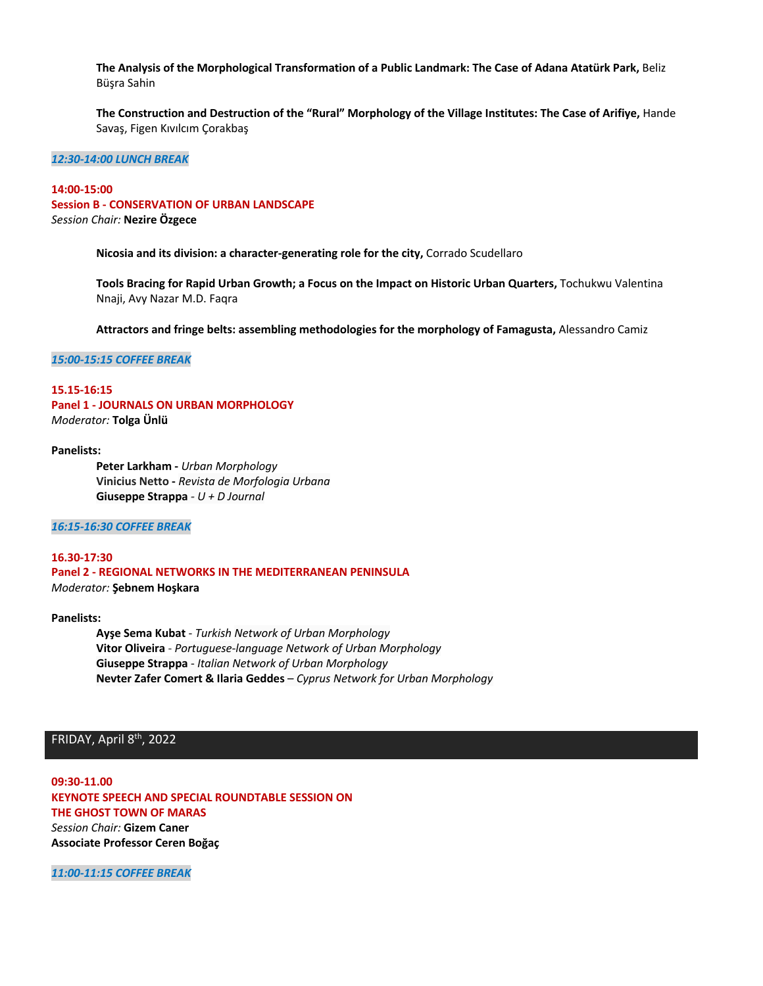**The Analysis of the Morphological Transformation of a Public Landmark: The Case of Adana Atatürk Park,** Beliz Büşra Sahin

**The Construction and Destruction of the "Rural" Morphology of the Village Institutes: The Case of Arifiye,** Hande Savaş, Figen Kıvılcım Çorakbaş

*12:30-14:00 LUNCH BREAK*

### **14:00-15:00 Session B - CONSERVATION OF URBAN LANDSCAPE** *Session Chair:* **Nezire Özgece**

**Nicosia and its division: a character-generating role for the city,** Corrado Scudellaro

**Tools Bracing for Rapid Urban Growth; a Focus on the Impact on Historic Urban Quarters,** Tochukwu Valentina Nnaji, Avy Nazar M.D. Faqra

**Attractors and fringe belts: assembling methodologies for the morphology of Famagusta,** Alessandro Camiz

*15:00-15:15 COFFEE BREAK*

#### **15.15-16:15 Panel 1 - JOURNALS ON URBAN MORPHOLOGY** *Moderator:* **Tolga Ünlü**

#### **Panelists:**

**Peter Larkham -** *Urban Morphology* **Vinicius Netto -** *Revista de Morfologia Urbana* **Giuseppe Strappa** *- U + D Journal* 

*16:15-16:30 COFFEE BREAK*

#### **16.30-17:30 Panel 2 - REGIONAL NETWORKS IN THE MEDITERRANEAN PENINSULA** *Moderator:* **Şebnem Hoşkara**

#### **Panelists:**

**Ayşe Sema Kubat** - *Turkish Network of Urban Morphology* **Vitor Oliveira** - *Portuguese-language Network of Urban Morphology* **Giuseppe Strappa** - *Italian Network of Urban Morphology* **Nevter Zafer Comert & Ilaria Geddes** – *Cyprus Network for Urban Morphology*

## FRIDAY, April 8<sup>th</sup>, 2022

**09:30-11.00 KEYNOTE SPEECH AND SPECIAL ROUNDTABLE SESSION ON THE GHOST TOWN OF MARAS** *Session Chair:* **Gizem Caner Associate Professor Ceren Boğaç**

*11:00-11:15 COFFEE BREAK*